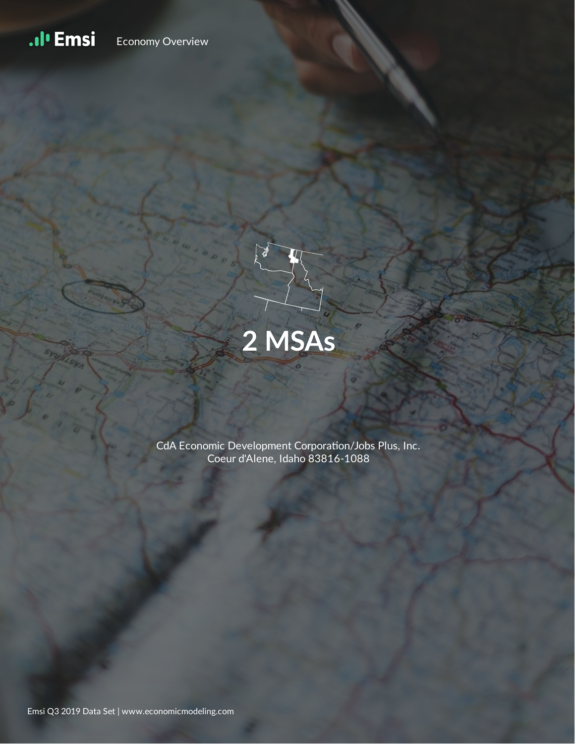#### .ıl<sup>ı</sup> Emsi Economy Overview



CdA Economic Development Corporation/Jobs Plus, Inc. Coeur d'Alene, Idaho 83816-1088

Emsi Q3 2019 Data Set | www.economicmodeling.com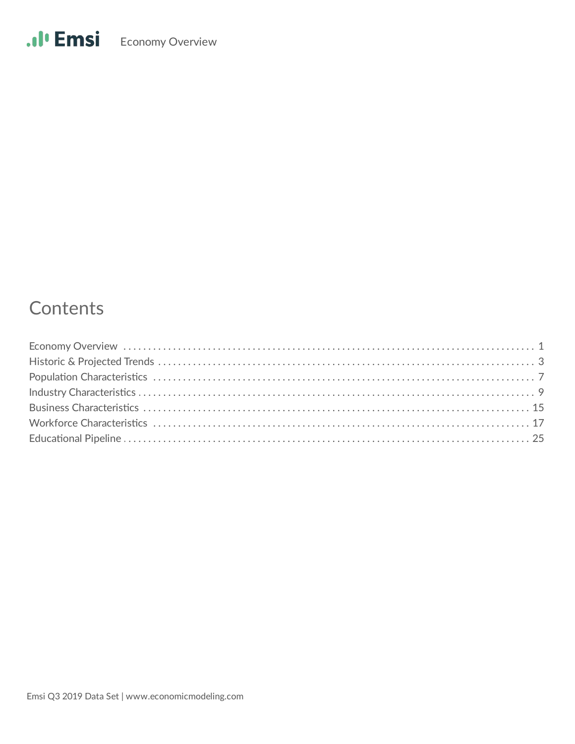# Contents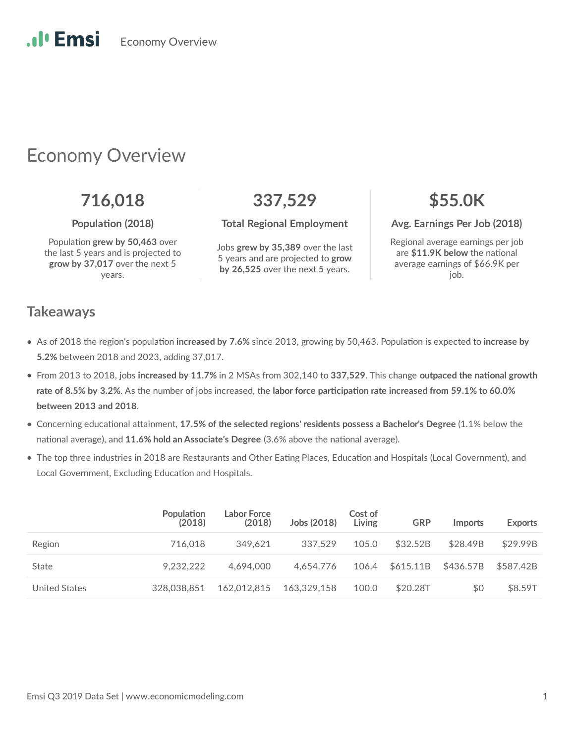Economy Overview

# Economy Overview

Population grew by 50,463 over the last 5 years and is projected to **grow by 37,017** over the next 5 years.

**716,018 337,529 \$55.0K**

Jobs **grew by 35,389** over the last 5 years and are projected to **grow by 26,525** over the next 5 years.

**Population (2018) Total Regional Employment Avg. Earnings Per Job (2018)** 

Regional average earnings per job are \$11.9K below the national average earnings of \$66.9K per job.

#### **Takeaways**

.**.**. Emsi

- As of 2018 the region's population increased by 7.6% since 2013, growing by 50,463. Population is expected to increase by **5.2%** between 2018 and 2023, adding 37,017.
- From 2013 to 2018, jobs increased by 11.7% in 2 MSAs from 302,140 to 337,529. This change outpaced the national growth rate of 8.5% by 3.2%. As the number of jobs increased, the labor force participation rate increased from 59.1% to 60.0% **between 2013 and 2018**.
- Concerning educational attainment, 17.5% of the selected regions' residents possess a Bachelor's Degree (1.1% below the national average), and 11.6% hold an Associate's Degree (3.6% above the national average).
- The top three industries in 2018 are Restaurants and Other Eating Places, Education and Hospitals (Local Government), and Local Government, Excluding Education and Hospitals.

|                      | Population<br>(2018) | Labor Force<br>(2018) | Jobs (2018) | Cost of<br>Living | <b>GRP</b> | <b>Imports</b> | <b>Exports</b> |
|----------------------|----------------------|-----------------------|-------------|-------------------|------------|----------------|----------------|
| Region               | 716.018              | 349.621               | 337.529     | 105.0             | \$32.52B   | \$28.49B       | \$29.99B       |
| State                | 9.232.222            | 4.694.000             | 4.654.776   | 106.4             | \$615.11B  | \$436.57B      | \$587.42B      |
| <b>United States</b> | 328.038.851          | 162.012.815           | 163.329.158 | 100.0             | \$20.28T   | \$0            | \$8.59T        |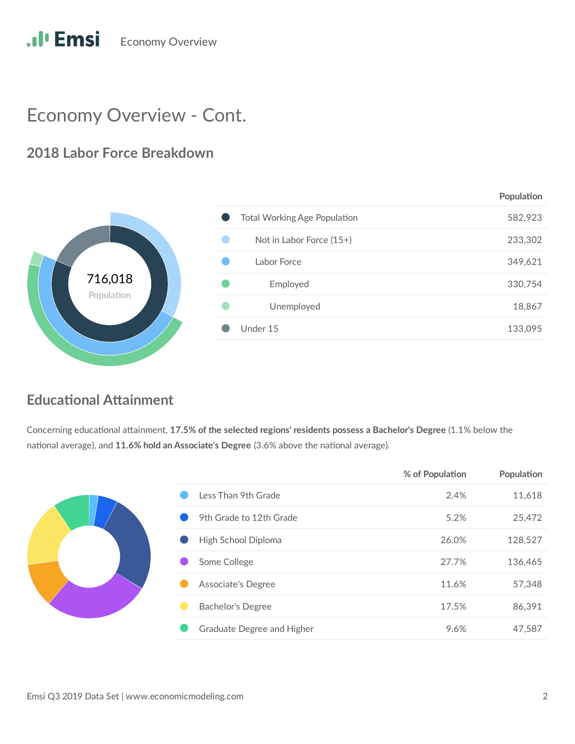

# Economy Overview - Cont.

### **2018 Labor Force Breakdown**



### **Educational Attainment**

Concerning educational attainment, 17.5% of the selected regions' residents possess a Bachelor's Degree (1.1% below the national average), and 11.6% hold an Associate's Degree (3.6% above the national average).

|  |                            | 70 OI PUPUIDUUI | <b>FUPUIALIUII</b> |
|--|----------------------------|-----------------|--------------------|
|  | Less Than 9th Grade        | 2.4%            | 11,618             |
|  | 9th Grade to 12th Grade    | 5.2%            | 25,472             |
|  | High School Diploma        | 26.0%           | 128,527            |
|  | Some College               | 27.7%           | 136,465            |
|  | Associate's Degree         | 11.6%           | 57,348             |
|  | <b>Bachelor's Degree</b>   | 17.5%           | 86,391             |
|  | Graduate Degree and Higher | 9.6%            | 47,587             |
|  |                            |                 |                    |

**% of Populaon Populaon**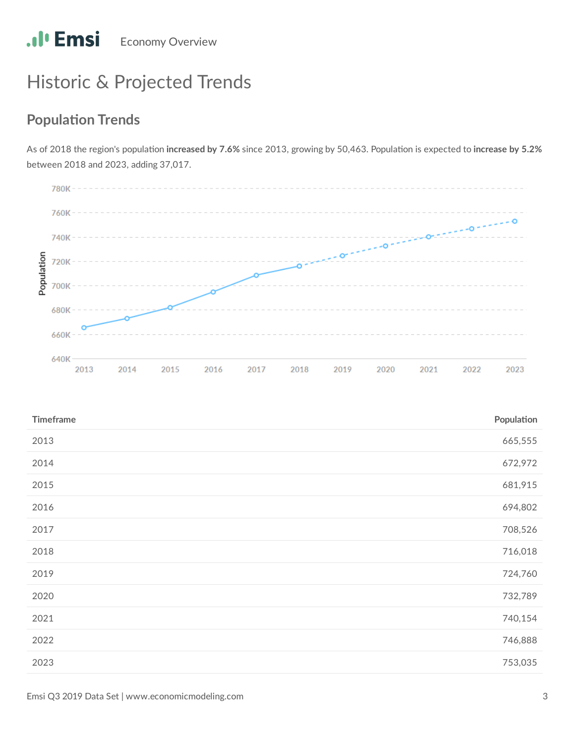# Historic & Projected Trends

## **Population Trends**

As of 2018 the region's population increased by 7.6% since 2013, growing by 50,463. Population is expected to increase by 5.2% between 2018 and 2023, adding 37,017.

![](_page_4_Figure_4.jpeg)

| <b>Timeframe</b> | Population |
|------------------|------------|
| 2013             | 665,555    |
| 2014             | 672,972    |
| 2015             | 681,915    |
| 2016             | 694,802    |
| 2017             | 708,526    |
| 2018             | 716,018    |
| 2019             | 724,760    |
| 2020             | 732,789    |
| 2021             | 740,154    |
| 2022             | 746,888    |
| 2023             | 753,035    |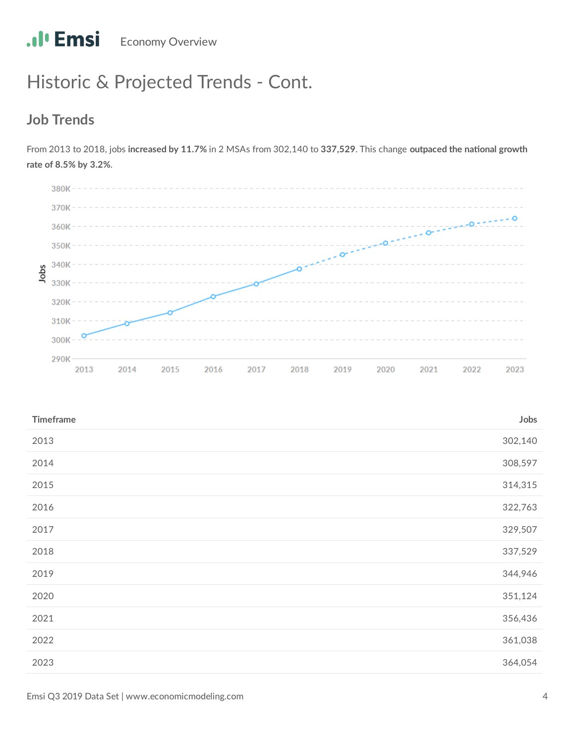# Historic & Projected Trends - Cont.

### **Job Trends**

From 2013 to 2018, jobs increased by 11.7% in 2 MSAs from 302,140 to 337,529. This change outpaced the national growth **rate of 8.5% by 3.2%**.

![](_page_5_Figure_4.jpeg)

| <b>Timeframe</b> | Jobs    |
|------------------|---------|
| 2013             | 302,140 |
| 2014             | 308,597 |
| 2015             | 314,315 |
| 2016             | 322,763 |
| 2017             | 329,507 |
| 2018             | 337,529 |
| 2019             | 344,946 |
| 2020             | 351,124 |
| 2021             | 356,436 |
| 2022             | 361,038 |
| 2023             | 364,054 |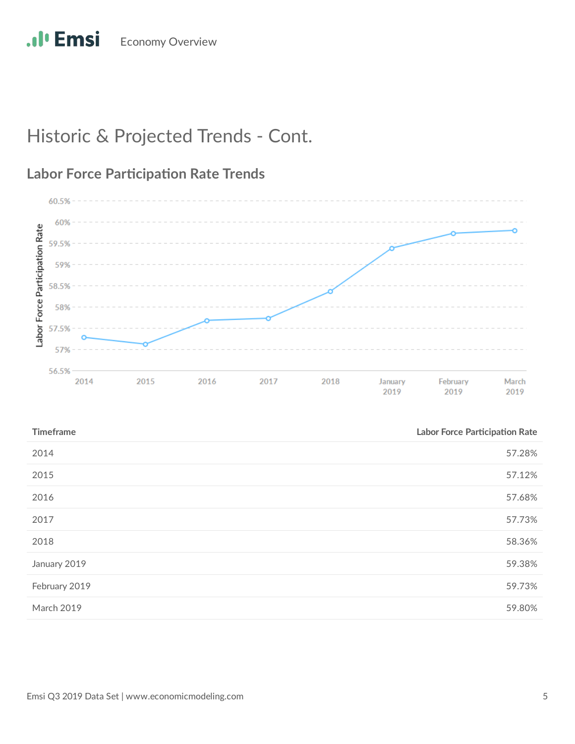# Historic & Projected Trends - Cont.

![](_page_6_Figure_2.jpeg)

![](_page_6_Figure_3.jpeg)

| <b>Timeframe</b> | <b>Labor Force Participation Rate</b> |
|------------------|---------------------------------------|
| 2014             | 57.28%                                |
| 2015             | 57.12%                                |
| 2016             | 57.68%                                |
| 2017             | 57.73%                                |
| 2018             | 58.36%                                |
| January 2019     | 59.38%                                |
| February 2019    | 59.73%                                |
| March 2019       | 59.80%                                |
|                  |                                       |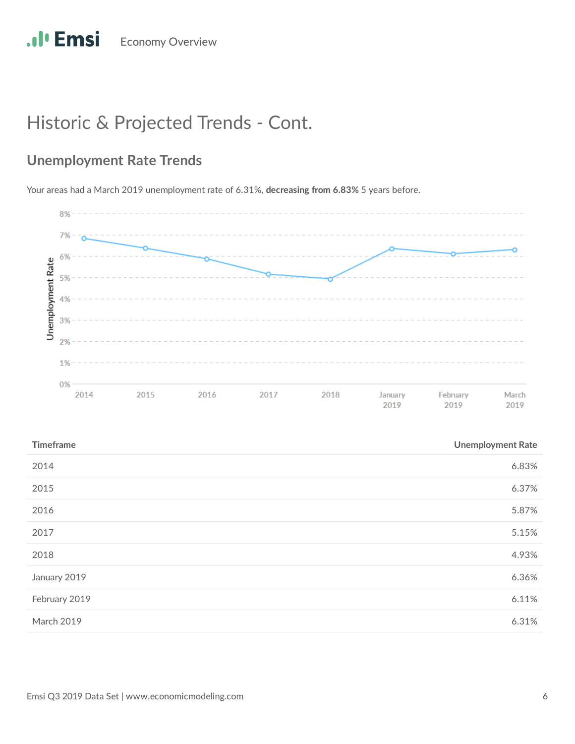# Historic & Projected Trends - Cont.

## **Unemployment Rate Trends**

Your areas had a March 2019 unemployment rate of 6.31%, **decreasing from 6.83%** 5 years before.

![](_page_7_Figure_4.jpeg)

| <b>Timeframe</b> | <b>Unemployment Rate</b> |
|------------------|--------------------------|
| 2014             | 6.83%                    |
| 2015             | 6.37%                    |
| 2016             | 5.87%                    |
| 2017             | 5.15%                    |
| 2018             | 4.93%                    |
| January 2019     | 6.36%                    |
| February 2019    | 6.11%                    |
| March 2019       | 6.31%                    |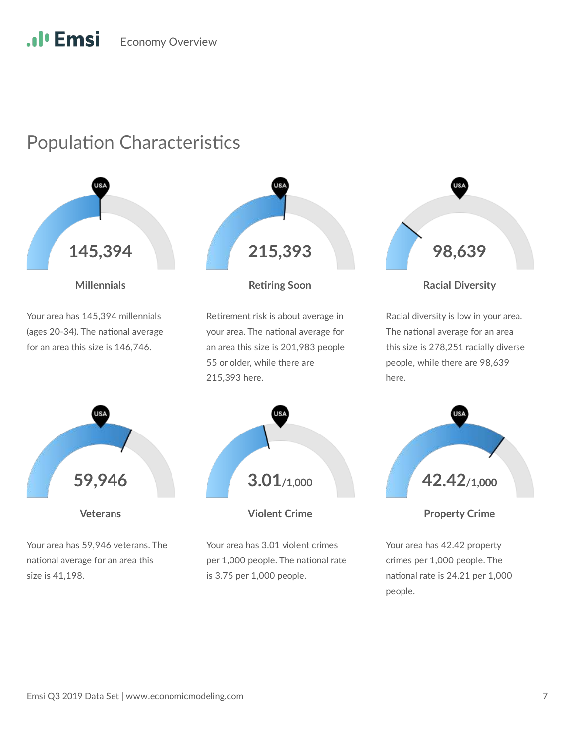# Population Characteristics

![](_page_8_Picture_2.jpeg)

**Millennials**

Your area has 145,394 millennials (ages 20-34). The national average for an area this size is 146,746.

![](_page_8_Picture_5.jpeg)

#### **Rering Soon**

Retirement risk is about average in your area. The national average for an area this size is 201,983 people 55 or older, while there are 215,393 here.

![](_page_8_Figure_8.jpeg)

Racial diversity is low in your area. The national average for an area

this size is 278,251 racially diverse people, while there are 98,639

here.

![](_page_8_Figure_10.jpeg)

**Veterans**

Your area has 59,946 veterans. The national average for an area this size is 41,198.

![](_page_8_Picture_13.jpeg)

**Violent Crime**

Your area has 3.01 violent crimes per 1,000 people. The national rate is 3.75 per 1,000 people.

![](_page_8_Figure_16.jpeg)

**Property Crime**

Your area has 42.42 property crimes per 1,000 people. The national rate is 24.21 per 1,000 people.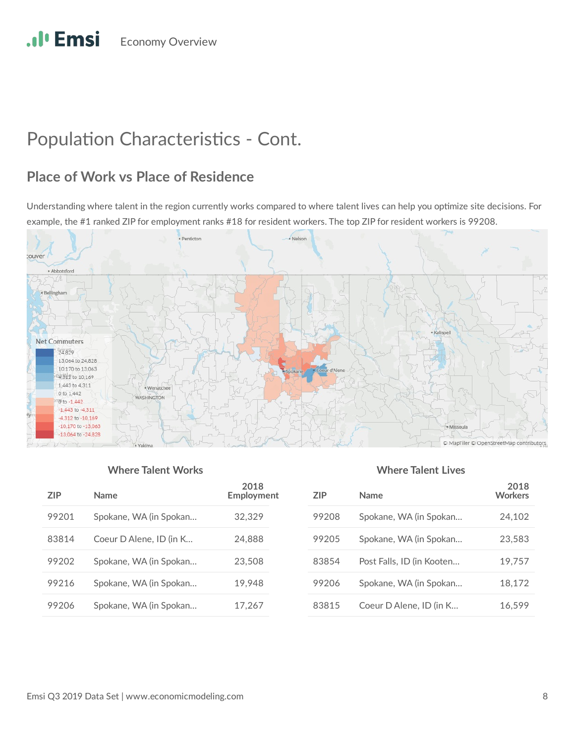# Population Characteristics - Cont.

## **Place of Work vs Place of Residence**

Understanding where talent in the region currently works compared to where talent lives can help you optimize site decisions. For example, the #1 ranked ZIP for employment ranks #18 for resident workers. The top ZIP for resident workers is 99208.

![](_page_9_Figure_4.jpeg)

#### **Where Talent Works Where Talent Lives**

| 7IP   | <b>Name</b>             | 2018<br>Employment |
|-------|-------------------------|--------------------|
| 99201 | Spokane, WA (in Spokan  | 32,329             |
| 83814 | Coeur D Alene, ID (in K | 24,888             |
| 99202 | Spokane, WA (in Spokan  | 23,508             |
| 99216 | Spokane, WA (in Spokan  | 19.948             |
| 99206 | Spokane, WA (in Spokan  | 17,267             |

| 7IP   | <b>Name</b>               | 2018<br><b>Workers</b> |
|-------|---------------------------|------------------------|
| 99208 | Spokane, WA (in Spokan    | 24,102                 |
| 99205 | Spokane, WA (in Spokan    | 23,583                 |
| 83854 | Post Falls, ID (in Kooten | 19,757                 |
| 99206 | Spokane, WA (in Spokan    | 18,172                 |
| 83815 | Coeur D Alene, ID (in K   | 16.599                 |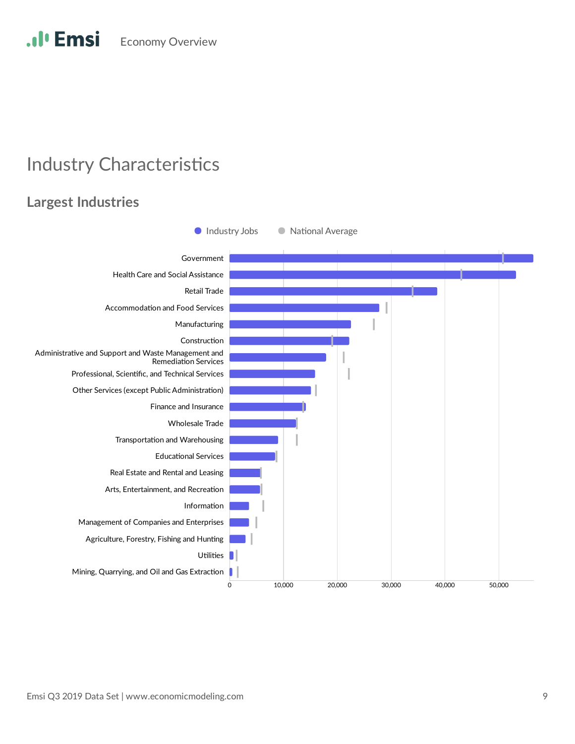.**.**I<sup>*l*</sup> Emsi **Economy Overview** 

# **Industry Characteristics**

### **Largest Industries**

![](_page_10_Figure_3.jpeg)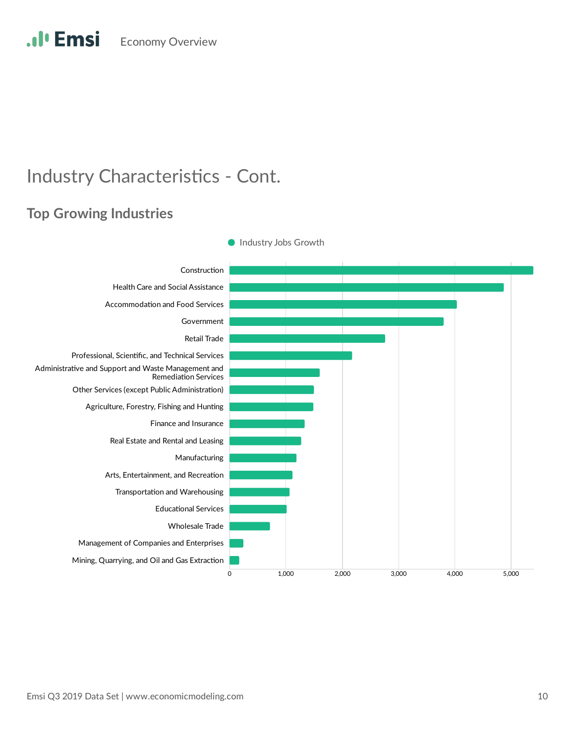# **Industry Characteristics - Cont.**

### **Top Growing Industries**

![](_page_11_Figure_3.jpeg)

**Industry Jobs Growth**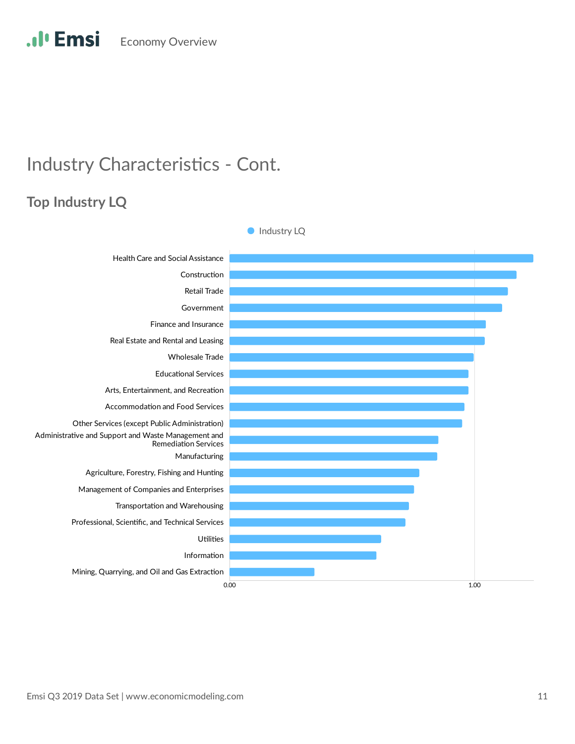# **Industry Characteristics - Cont.**

## **Top Industry LQ**

![](_page_12_Figure_3.jpeg)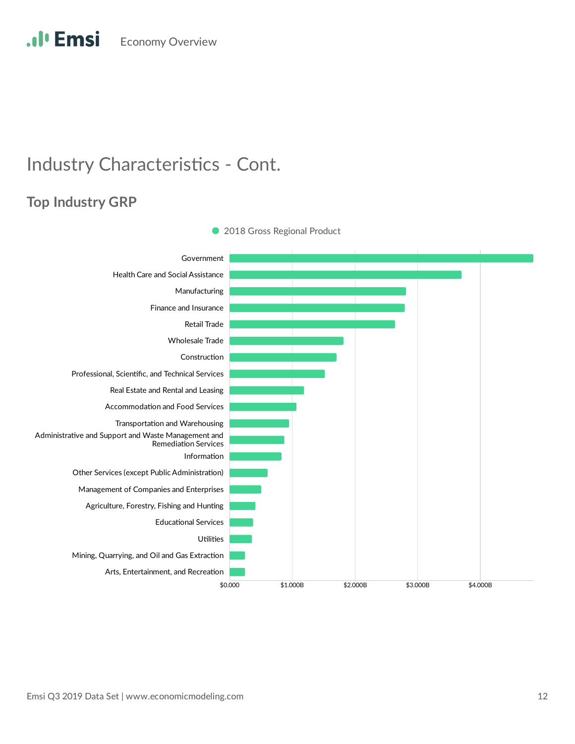# **Industry Characteristics - Cont.**

## **Top Industry GRP**

![](_page_13_Figure_3.jpeg)

• 2018 Gross Regional Product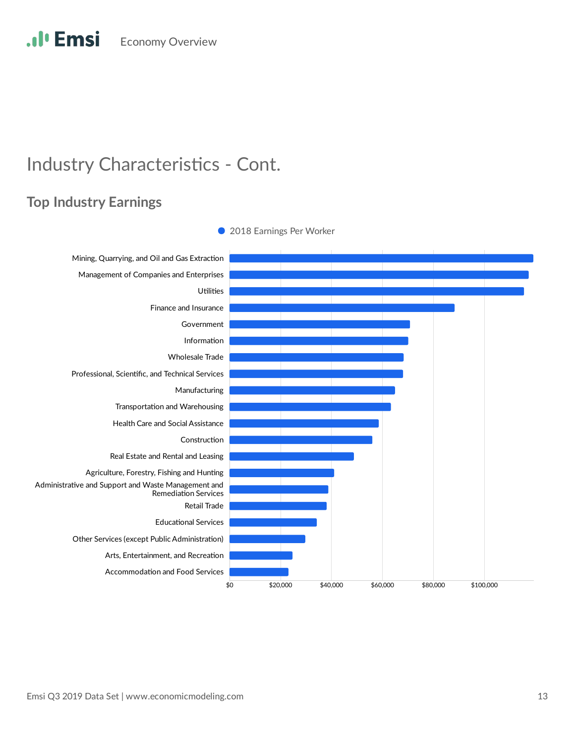# **Industry Characteristics - Cont.**

### **Top Industry Earnings**

![](_page_14_Figure_3.jpeg)

• 2018 Earnings Per Worker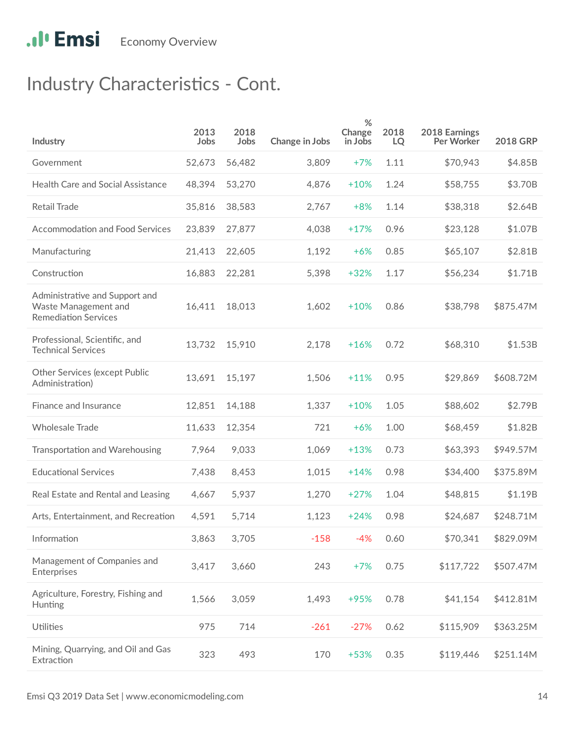# **Industry Characteristics - Cont.**

| Industry                                                                              | 2013<br>Jobs | 2018<br>Jobs | Change in Jobs | %<br>Change<br>in Jobs | 2018<br>LQ | 2018 Earnings<br>Per Worker | <b>2018 GRP</b> |
|---------------------------------------------------------------------------------------|--------------|--------------|----------------|------------------------|------------|-----------------------------|-----------------|
| Government                                                                            | 52,673       | 56,482       | 3,809          | $+7%$                  | 1.11       | \$70,943                    | \$4.85B         |
| Health Care and Social Assistance                                                     | 48,394       | 53,270       | 4,876          | $+10%$                 | 1.24       | \$58,755                    | \$3.70B         |
| Retail Trade                                                                          | 35,816       | 38,583       | 2,767          | $+8%$                  | 1.14       | \$38,318                    | \$2.64B         |
| <b>Accommodation and Food Services</b>                                                | 23,839       | 27,877       | 4,038          | $+17%$                 | 0.96       | \$23,128                    | \$1.07B         |
| Manufacturing                                                                         | 21,413       | 22,605       | 1,192          | $+6%$                  | 0.85       | \$65,107                    | \$2.81B         |
| Construction                                                                          | 16,883       | 22,281       | 5,398          | $+32%$                 | 1.17       | \$56,234                    | \$1.71B         |
| Administrative and Support and<br>Waste Management and<br><b>Remediation Services</b> | 16,411       | 18,013       | 1,602          | $+10%$                 | 0.86       | \$38,798                    | \$875.47M       |
| Professional, Scientific, and<br><b>Technical Services</b>                            | 13,732       | 15,910       | 2,178          | $+16%$                 | 0.72       | \$68,310                    | \$1.53B         |
| <b>Other Services (except Public</b><br>Administration)                               | 13,691       | 15,197       | 1,506          | $+11%$                 | 0.95       | \$29,869                    | \$608.72M       |
| Finance and Insurance                                                                 | 12,851       | 14,188       | 1,337          | $+10%$                 | 1.05       | \$88,602                    | \$2.79B         |
| <b>Wholesale Trade</b>                                                                | 11,633       | 12,354       | 721            | $+6%$                  | 1.00       | \$68,459                    | \$1.82B         |
| Transportation and Warehousing                                                        | 7,964        | 9,033        | 1,069          | $+13%$                 | 0.73       | \$63,393                    | \$949.57M       |
| <b>Educational Services</b>                                                           | 7,438        | 8,453        | 1,015          | $+14%$                 | 0.98       | \$34,400                    | \$375.89M       |
| Real Estate and Rental and Leasing                                                    | 4,667        | 5,937        | 1,270          | $+27%$                 | 1.04       | \$48,815                    | \$1.19B         |
| Arts, Entertainment, and Recreation                                                   | 4,591        | 5,714        | 1,123          | $+24%$                 | 0.98       | \$24,687                    | \$248.71M       |
| Information                                                                           | 3,863        | 3,705        | $-158$         | -4%                    | 0.60       | \$70,341                    | \$829.09M       |
| Management of Companies and<br>Enterprises                                            | 3,417        | 3,660        | 243            | $+7%$                  | 0.75       | \$117,722                   | \$507.47M       |
| Agriculture, Forestry, Fishing and<br>Hunting                                         | 1,566        | 3,059        | 1,493          | +95%                   | 0.78       | \$41,154                    | \$412.81M       |
| Utilities                                                                             | 975          | 714          | $-261$         | $-27%$                 | 0.62       | \$115,909                   | \$363.25M       |
| Mining, Quarrying, and Oil and Gas<br>Extraction                                      | 323          | 493          | 170            | +53%                   | 0.35       | \$119,446                   | \$251.14M       |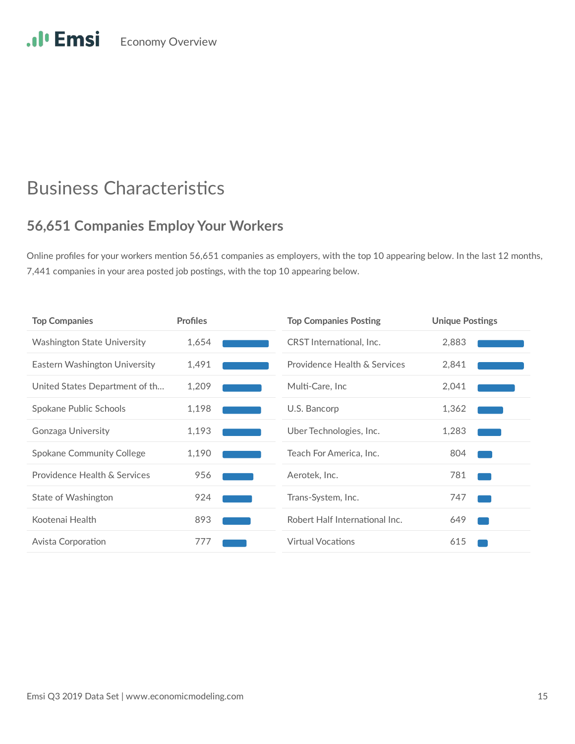# **Business Characteristics**

### **56,651 Companies Employ Your Workers**

Online profiles for your workers mention 56,651 companies as employers, with the top 10 appearing below. In the last 12 months, 7,441 companies in your area posted job postings, with the top 10 appearing below.

| <b>Top Companies</b>               | <b>Profiles</b> | <b>Top Companies Posting</b>   | <b>Unique Postings</b> |
|------------------------------------|-----------------|--------------------------------|------------------------|
| <b>Washington State University</b> | 1,654           | CRST International, Inc.       | 2,883                  |
| Eastern Washington University      | 1,491           | Providence Health & Services   | 2,841                  |
| United States Department of th     | 1,209           | Multi-Care, Inc.               | 2,041                  |
| Spokane Public Schools             | 1,198           | U.S. Bancorp                   | 1,362                  |
| Gonzaga University                 | 1,193           | Uber Technologies, Inc.        | 1,283                  |
| <b>Spokane Community College</b>   | 1,190           | Teach For America, Inc.        | 804                    |
| Providence Health & Services       | 956             | Aerotek, Inc.                  | 781                    |
| State of Washington                | 924             | Trans-System, Inc.             | 747                    |
| Kootenai Health                    | 893             | Robert Half International Inc. | 649                    |
| Avista Corporation                 | 777             | <b>Virtual Vocations</b>       | 615                    |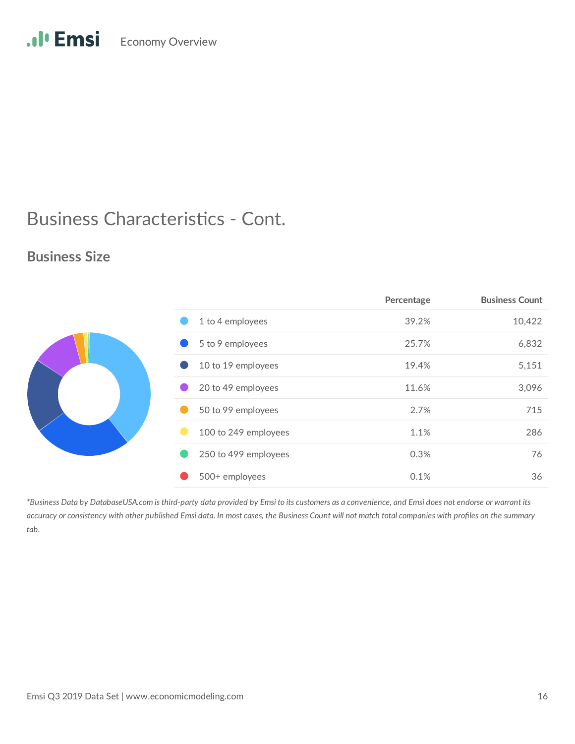# .Il<sup>.</sup> Emsi Economy Overview

# Business Characteristics - Cont.

### **Business Size**

|                      | Percentage | <b>Business Count</b> |
|----------------------|------------|-----------------------|
| 1 to 4 employees     | 39.2%      | 10,422                |
| 5 to 9 employees     | 25.7%      | 6,832                 |
| 10 to 19 employees   | 19.4%      | 5,151                 |
| 20 to 49 employees   | 11.6%      | 3,096                 |
| 50 to 99 employees   | 2.7%       | 715                   |
| 100 to 249 employees | 1.1%       | 286                   |
| 250 to 499 employees | 0.3%       | 76                    |
| 500+ employees       | 0.1%       | 36                    |

*\*Business Data by DatabaseUSA.com is third-party data provided by Emsi to its customers as a convenience, and Emsi does not endorse or warrant its accuracy or consistency with other published Emsi data. In most cases, the Business Count will not match total companies with profiles on the summary tab.*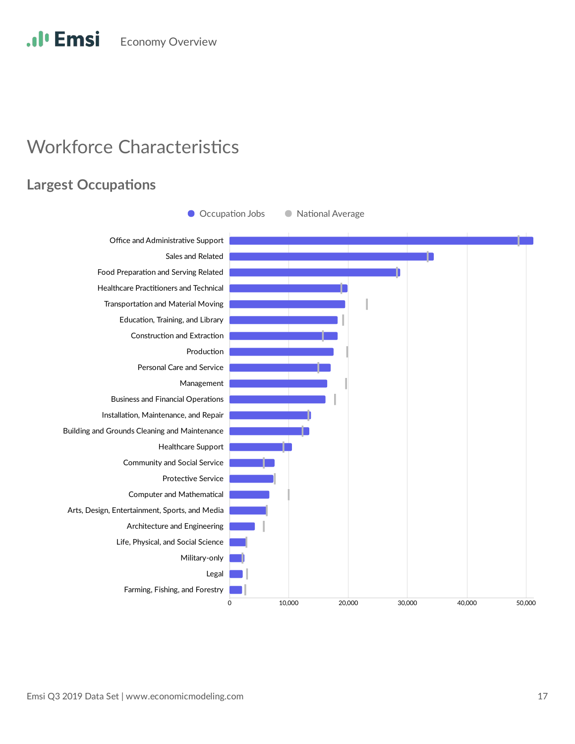# **Workforce Characteristics**

### **Largest Occupations**

![](_page_18_Figure_3.jpeg)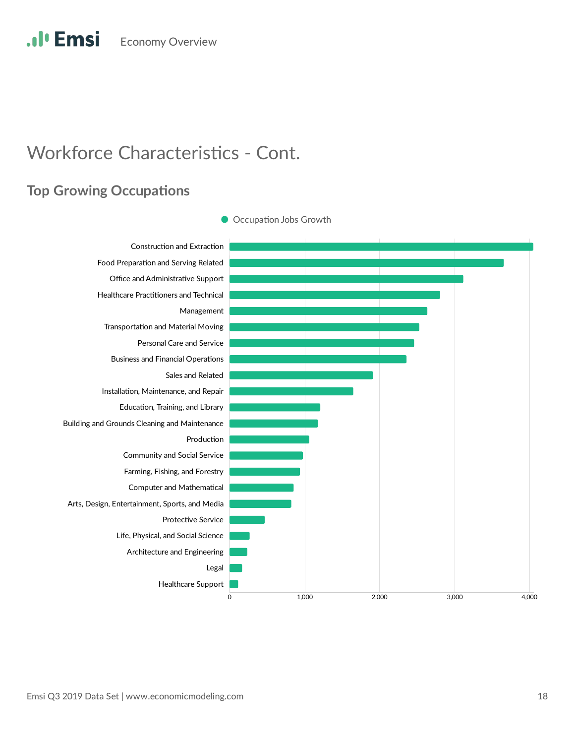# **Workforce Characteristics - Cont.**

### **Top Growing Occupations**

![](_page_19_Figure_3.jpeg)

Occupation Jobs Growth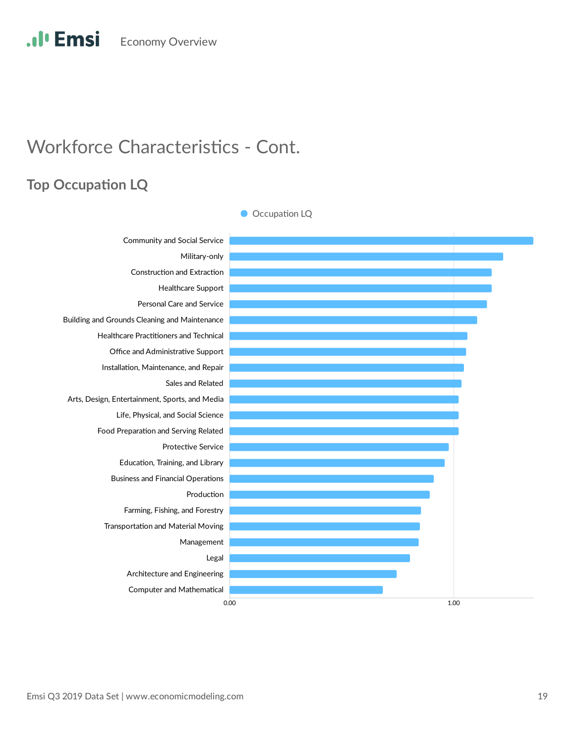# **Workforce Characteristics - Cont.**

## **Top Occupation LQ**

![](_page_20_Figure_3.jpeg)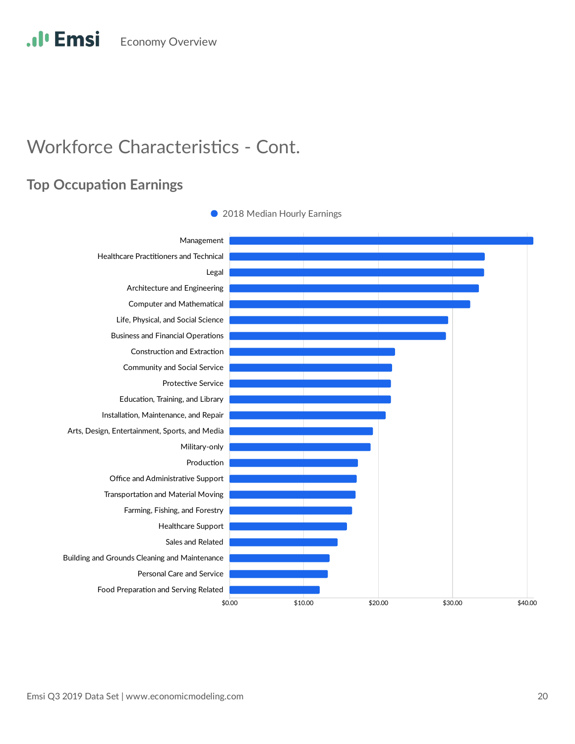### **Top Occupation Earnings**

![](_page_21_Figure_3.jpeg)

• 2018 Median Hourly Earnings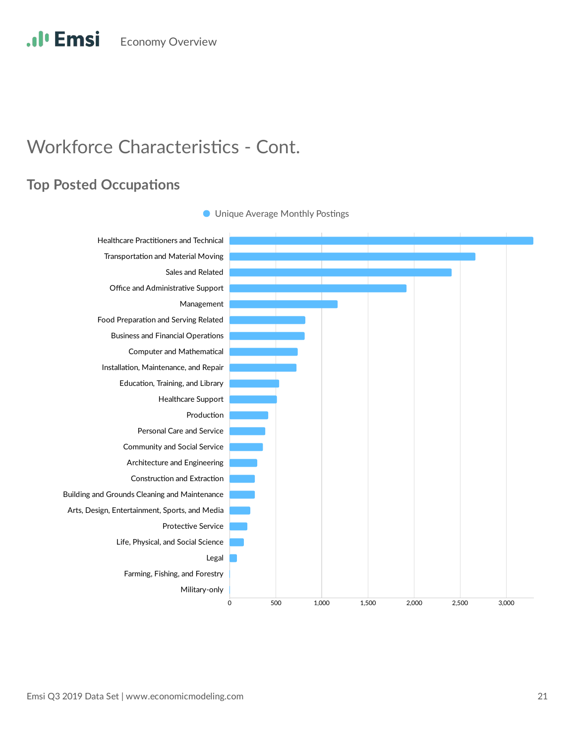# **Workforce Characteristics - Cont.**

### **Top Posted Occupations**

![](_page_22_Figure_3.jpeg)

**O** Unique Average Monthly Postings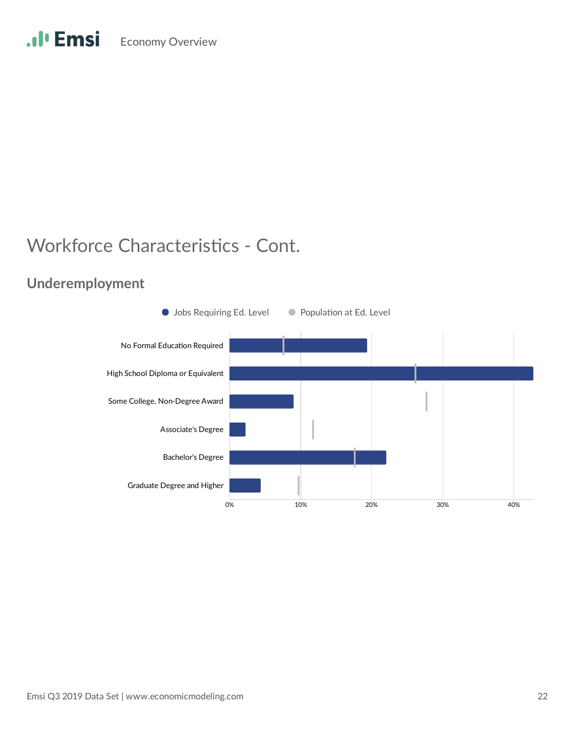### **Underemployment**

![](_page_23_Figure_3.jpeg)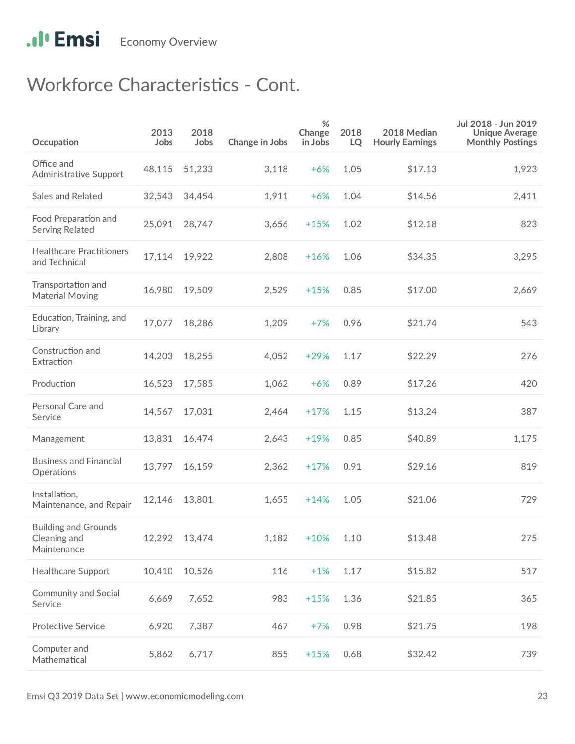| Occupation                                                 | 2013<br>Jobs | 2018<br>Jobs  | Change in Jobs | $\%$<br>Change<br>in Jobs | 2018<br>LQ | 2018 Median<br><b>Hourly Earnings</b> | Jul 2018 - Jun 2019<br><b>Unique Average</b><br><b>Monthly Postings</b> |
|------------------------------------------------------------|--------------|---------------|----------------|---------------------------|------------|---------------------------------------|-------------------------------------------------------------------------|
| Office and<br>Administrative Support                       | 48,115       | 51,233        | 3,118          | $+6%$                     | 1.05       | \$17.13                               | 1,923                                                                   |
| Sales and Related                                          | 32,543       | 34,454        | 1,911          | $+6%$                     | 1.04       | \$14.56                               | 2,411                                                                   |
| Food Preparation and<br>Serving Related                    | 25,091       | 28,747        | 3,656          | $+15%$                    | 1.02       | \$12.18                               | 823                                                                     |
| <b>Healthcare Practitioners</b><br>and Technical           | 17,114       | 19,922        | 2,808          | $+16%$                    | 1.06       | \$34.35                               | 3,295                                                                   |
| Transportation and<br><b>Material Moving</b>               | 16,980       | 19,509        | 2,529          | $+15%$                    | 0.85       | \$17.00                               | 2,669                                                                   |
| Education, Training, and<br>Library                        | 17,077       | 18,286        | 1,209          | $+7%$                     | 0.96       | \$21.74                               | 543                                                                     |
| Construction and<br>Extraction                             | 14,203       | 18,255        | 4,052          | $+29%$                    | 1.17       | \$22.29                               | 276                                                                     |
| Production                                                 | 16,523       | 17,585        | 1,062          | $+6%$                     | 0.89       | \$17.26                               | 420                                                                     |
| Personal Care and<br>Service                               | 14,567       | 17,031        | 2,464          | $+17%$                    | 1.15       | \$13.24                               | 387                                                                     |
| Management                                                 | 13,831       | 16,474        | 2,643          | $+19%$                    | 0.85       | \$40.89                               | 1,175                                                                   |
| <b>Business and Financial</b><br>Operations                | 13,797       | 16,159        | 2,362          | $+17%$                    | 0.91       | \$29.16                               | 819                                                                     |
| Installation,<br>Maintenance, and Repair                   | 12,146       | 13,801        | 1,655          | $+14%$                    | 1.05       | \$21.06                               | 729                                                                     |
| <b>Building and Grounds</b><br>Cleaning and<br>Maintenance |              | 12,292 13,474 | 1,182          | $+10%$                    | 1.10       | \$13.48                               | 275                                                                     |
| Healthcare Support                                         | 10,410       | 10,526        | 116            | $+1%$                     | 1.17       | \$15.82                               | 517                                                                     |
| Community and Social<br>Service                            | 6,669        | 7,652         | 983            | $+15%$                    | 1.36       | \$21.85                               | 365                                                                     |
| <b>Protective Service</b>                                  | 6,920        | 7,387         | 467            | $+7%$                     | 0.98       | \$21.75                               | 198                                                                     |
| Computer and<br>Mathematical                               | 5,862        | 6,717         | 855            | $+15%$                    | 0.68       | \$32.42                               | 739                                                                     |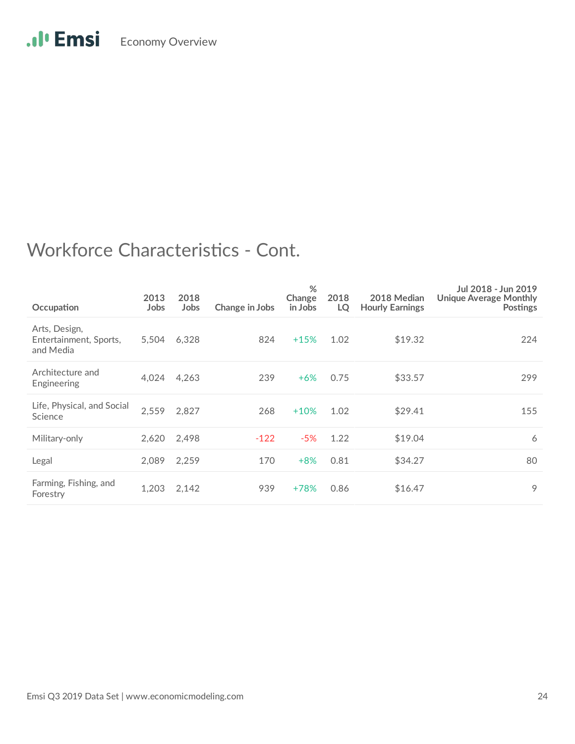| Occupation                                           | 2013<br>Jobs | 2018<br>Jobs | Change in Jobs | %<br>Change<br>in Jobs | 2018<br>LQ | 2018 Median<br><b>Hourly Earnings</b> | Jul 2018 - Jun 2019<br>Unique Average Monthly<br><b>Postings</b> |
|------------------------------------------------------|--------------|--------------|----------------|------------------------|------------|---------------------------------------|------------------------------------------------------------------|
| Arts, Design,<br>Entertainment, Sports,<br>and Media | 5.504        | 6,328        | 824            | $+15%$                 | 1.02       | \$19.32                               | 224                                                              |
| Architecture and<br>Engineering                      | 4,024        | 4,263        | 239            | $+6%$                  | 0.75       | \$33.57                               | 299                                                              |
| Life, Physical, and Social<br>Science                | 2,559        | 2,827        | 268            | $+10%$                 | 1.02       | \$29.41                               | 155                                                              |
| Military-only                                        | 2,620        | 2,498        | $-122$         | $-5%$                  | 1.22       | \$19.04                               | 6                                                                |
| Legal                                                | 2.089        | 2,259        | 170            | $+8%$                  | 0.81       | \$34.27                               | 80                                                               |
| Farming, Fishing, and<br>Forestry                    | 1,203        | 2,142        | 939            | +78%                   | 0.86       | \$16.47                               | 9                                                                |